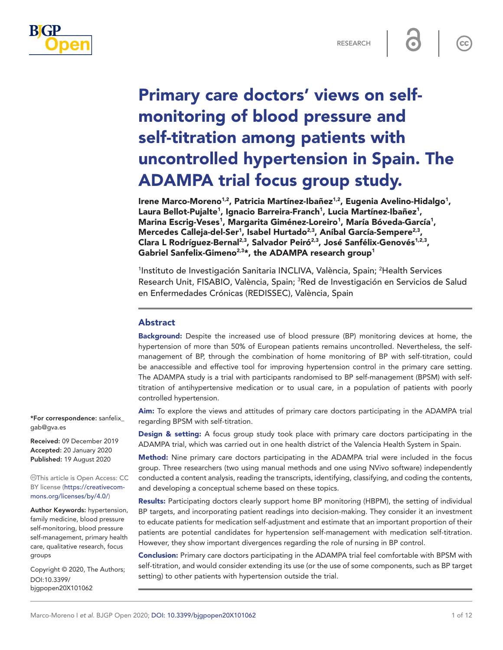

 $cc$ 

# Primary care doctors' views on selfmonitoring of blood pressure and self-titration among patients with uncontrolled hypertension in Spain. The ADAMPA trial focus group study.

Irene Marco-Moreno<sup>1,2</sup>, Patricia Martínez-Ibañez<sup>1,2</sup>, Eugenia Avelino-Hidalgo<sup>1</sup>, Laura Bellot-Pujalte<sup>1</sup>, Ignacio Barreira-Franch<sup>1</sup>, Lucia Martínez-Ibañez<sup>1</sup>, Marina Escrig-Veses<sup>1</sup>, Margarita Giménez-Loreiro<sup>1</sup>, María Bóveda-García<sup>1</sup>, Mercedes Calleja-del-Ser<sup>1</sup>, Isabel Hurtado<sup>2,3</sup>, Aníbal García-Sempere<sup>2,3</sup>, Clara L Rodríguez-Bernal<sup>2,3</sup>, Salvador Peiró<sup>2,3</sup>, José Sanfélix-Genovés<sup>1,2,3</sup>, Gabriel Sanfelix-Gimeno<sup>2,3\*</sup>, the ADAMPA research group<sup>1</sup>

<sup>1</sup>Instituto de Investigación Sanitaria INCLIVA, València, Spain; <sup>2</sup>Health Services Research Unit, FISABIO, València, Spain; <sup>3</sup>Red de Investigación en Servicios de Salud en Enfermedades Crónicas (REDISSEC), València, Spain

#### Abstract

Background: Despite the increased use of blood pressure (BP) monitoring devices at home, the hypertension of more than 50% of European patients remains uncontrolled. Nevertheless, the selfmanagement of BP, through the combination of home monitoring of BP with self-titration, could be anaccessible and effective tool for improving hypertension control in the primary care setting. The ADAMPA study is a trial with participants randomised to BP self-management (BPSM) with selftitration of antihypertensive medication or to usual care, in a population of patients with poorly controlled hypertension.

Aim: To explore the views and attitudes of primary care doctors participating in the ADAMPA trial regarding BPSM with self-titration.

Design & setting: A focus group study took place with primary care doctors participating in the ADAMPA trial, which was carried out in one health district of the Valencia Health System in Spain.

Method: Nine primary care doctors participating in the ADAMPA trial were included in the focus group. Three researchers (two using manual methods and one using NVivo software) independently conducted a content analysis, reading the transcripts, identifying, classifying, and coding the contents, and developing a conceptual scheme based on these topics.

Results: Participating doctors clearly support home BP monitoring (HBPM), the setting of individual BP targets, and incorporating patient readings into decision-making. They consider it an investment to educate patients for medication self-adjustment and estimate that an important proportion of their patients are potential candidates for hypertension self-management with medication self-titration. However, they show important divergences regarding the role of nursing in BP control.

Conclusion: Primary care doctors participating in the ADAMPA trial feel comfortable with BPSM with self-titration, and would consider extending its use (or the use of some components, such as BP target setting) to other patients with hypertension outside the trial.

\*For correspondence: [sanfelix\\_](mailto:sanfelix_gab@gva.es) [gab@gva.es](mailto:sanfelix_gab@gva.es)

Received: 09 December 2019 Accepted: 20 January 2020 Published: 19 August 2020

This article is Open Access: CC BY license [\(https://creativecom](https://creativecommons.org/licenses/by/4.0/)[mons.org/licenses/by/4.0/\)](https://creativecommons.org/licenses/by/4.0/)

Author Keywords: hypertension, family medicine, blood pressure self-monitoring, blood pressure self-management, primary health care, qualitative research, focus groups

Copyright © 2020, The Authors; DOI:10.3399/ bjgpopen20X101062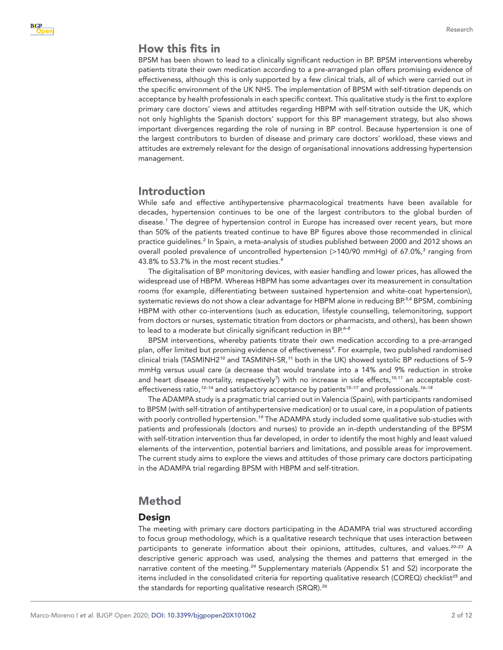# How this fits in

BPSM has been shown to lead to a clinically significant reduction in BP. BPSM interventions whereby patients titrate their own medication according to a pre-arranged plan offers promising evidence of effectiveness, although this is only supported by a few clinical trials, all of which were carried out in the specific environment of the UK NHS. The implementation of BPSM with self-titration depends on acceptance by health professionals in each specific context. This qualitative study is the first to explore primary care doctors' views and attitudes regarding HBPM with self-titration outside the UK, which not only highlights the Spanish doctors' support for this BP management strategy, but also shows important divergences regarding the role of nursing in BP control. Because hypertension is one of the largest contributors to burden of disease and primary care doctors' workload, these views and attitudes are extremely relevant for the design of organisational innovations addressing hypertension management.

### Introduction

While safe and effective antihypertensive pharmacological treatments have been available for decades, hypertension continues to be one of the largest contributors to the global burden of disease.*[1](#page-9-0)* The degree of hypertension control in Europe has increased over recent years, but more than 50% of the patients treated continue to have BP figures above those recommended in clinical practice guidelines.*[2](#page-9-1)* In Spain, a meta-analysis of studies published between 2000 and 2012 shows an overall pooled prevalence of uncontrolled hypertension (>140/90 mmHg) of 67.0%,*[3](#page-9-2)* ranging from 43.8% to 53.7% in the most recent studies.*[4](#page-9-3)*

The digitalisation of BP monitoring devices, with easier handling and lower prices, has allowed the widespread use of HBPM. Whereas HBPM has some advantages over its measurement in consultation rooms (for example, differentiating between sustained hypertension and white-coat hypertension), systematic reviews do not show a clear advantage for HBPM alone in reducing BP.*[5,6](#page-9-4)* BPSM, combining HBPM with other co-interventions (such as education, lifestyle counselling, telemonitoring, support from doctors or nurses, systematic titration from doctors or pharmacists, and others), has been shown to lead to a moderate but clinically significant reduction in BP.*[6–8](#page-9-5)*

BPSM interventions, whereby patients titrate their own medication according to a pre-arranged plan, offer limited but promising evidence of effectiveness*[9](#page-10-0)* . For example, two published randomised clinical trials (TASMINH2*[10](#page-10-1)* and TASMINH-SR,*[11](#page-10-2)* both in the UK) showed systolic BP reductions of 5–9 mmHg versus usual care (a decrease that would translate into a 14% and 9% reduction in stroke and heart disease mortality, respectively*[7](#page-10-3)* ) with no increase in side effects,*[10,11](#page-10-1)* an acceptable costeffectiveness ratio,*[12–14](#page-10-4)* and satisfactory acceptance by patients*[15–17](#page-10-5)* and professionals.*[16–18](#page-10-6)*

The ADAMPA study is a pragmatic trial carried out in Valencia (Spain), with participants randomised to BPSM (with self-titration of antihypertensive medication) or to usual care, in a population of patients with poorly controlled hypertension.*[19](#page-10-7)* The ADAMPA study included some qualitative sub-studies with patients and professionals (doctors and nurses) to provide an in-depth understanding of the BPSM with self-titration intervention thus far developed, in order to identify the most highly and least valued elements of the intervention, potential barriers and limitations, and possible areas for improvement. The current study aims to explore the views and attitudes of those primary care doctors participating in the ADAMPA trial regarding BPSM with HBPM and self-titration.

# Method

#### Design

The meeting with primary care doctors participating in the ADAMPA trial was structured according to focus group methodology, which is a qualitative research technique that uses interaction between participants to generate information about their opinions, attitudes, cultures, and values.*[20–23](#page-10-8)* A descriptive generic approach was used, analysing the themes and patterns that emerged in the narrative content of the meeting.*[24](#page-10-9)* Supplementary materials (Appendix S1 and S2) incorporate the items included in the consolidated criteria for reporting qualitative research (COREQ) checklist*[25](#page-10-10)* and the standards for reporting qualitative research (SRQR).*[26](#page-10-11)*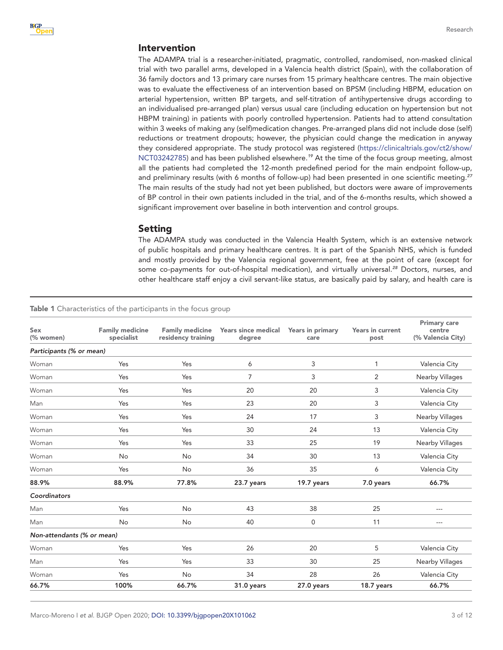#### Intervention

The ADAMPA trial is a researcher-initiated, pragmatic, controlled, randomised, non-masked clinical trial with two parallel arms, developed in a Valencia health district (Spain), with the collaboration of 36 family doctors and 13 primary care nurses from 15 primary healthcare centres. The main objective was to evaluate the effectiveness of an intervention based on BPSM (including HBPM, education on arterial hypertension, written BP targets, and self-titration of antihypertensive drugs according to an individualised pre-arranged plan) versus usual care (including education on hypertension but not HBPM training) in patients with poorly controlled hypertension. Patients had to attend consultation within 3 weeks of making any (self)medication changes. Pre-arranged plans did not include dose (self) reductions or treatment dropouts; however, the physician could change the medication in anyway they considered appropriate. The study protocol was registered ([https://clinicaltrials.gov/ct2/show/](https://clinicaltrials.gov/ct2/show/NCT03242785) [NCT03242785](https://clinicaltrials.gov/ct2/show/NCT03242785)) and has been published elsewhere.*[19](#page-10-7)* At the time of the focus group meeting, almost all the patients had completed the 12-month predefined period for the main endpoint follow-up, and preliminary results (with 6 months of follow-up) had been presented in one scientific meeting.*[27](#page-10-12)* The main results of the study had not yet been published, but doctors were aware of improvements of BP control in their own patients included in the trial, and of the 6-months results, which showed a significant improvement over baseline in both intervention and control groups.

#### Setting

The ADAMPA study was conducted in the Valencia Health System, which is an extensive network of public hospitals and primary healthcare centres. It is part of the Spanish NHS, which is funded and mostly provided by the Valencia regional government, free at the point of care (except for some co-payments for out-of-hospital medication), and virtually universal.*[28](#page-10-13)* Doctors, nurses, and other healthcare staff enjoy a civil servant-like status, are basically paid by salary, and health care is

#### <span id="page-2-0"></span>**Table 1** Characteristics of the participants in the focus group

| Sex<br>(% women)           | <b>Family medicine</b><br>specialist | <b>Family medicine</b><br>residency training | <b>Years since medical</b><br>degree | Years in primary<br>care | <b>Years in current</b><br>post | <b>Primary care</b><br>centre<br>(% Valencia City) |
|----------------------------|--------------------------------------|----------------------------------------------|--------------------------------------|--------------------------|---------------------------------|----------------------------------------------------|
| Participants (% or mean)   |                                      |                                              |                                      |                          |                                 |                                                    |
| Woman                      | Yes                                  | Yes                                          | 6                                    | 3                        | 1                               | Valencia City                                      |
| Woman                      | Yes                                  | Yes                                          | $\overline{7}$                       | 3                        | 2                               | Nearby Villages                                    |
| Woman                      | Yes                                  | Yes                                          | 20                                   | 20                       | 3                               | Valencia City                                      |
| Man                        | Yes                                  | Yes                                          | 23                                   | 20                       | 3                               | Valencia City                                      |
| Woman                      | Yes                                  | Yes                                          | 24                                   | 17                       | 3                               | Nearby Villages                                    |
| Woman                      | Yes                                  | Yes                                          | 30                                   | 24                       | 13                              | Valencia City                                      |
| Woman                      | Yes                                  | Yes                                          | 33                                   | 25                       | 19                              | <b>Nearby Villages</b>                             |
| Woman                      | No                                   | No                                           | 34                                   | 30                       | 13                              | Valencia City                                      |
| Woman                      | Yes                                  | No                                           | 36                                   | 35                       | 6                               | Valencia City                                      |
| 88.9%                      | 88.9%                                | 77.8%                                        | 23.7 years                           | 19.7 years               | 7.0 years                       | 66.7%                                              |
| Coordinators               |                                      |                                              |                                      |                          |                                 |                                                    |
| Man                        | Yes                                  | <b>No</b>                                    | 43                                   | 38                       | 25                              | $---$                                              |
| Man                        | <b>No</b>                            | No                                           | 40                                   | $\mathsf 0$              | 11                              | $---$                                              |
| Non-attendants (% or mean) |                                      |                                              |                                      |                          |                                 |                                                    |
| Woman                      | Yes                                  | Yes                                          | 26                                   | 20                       | 5                               | Valencia City                                      |
| Man                        | Yes                                  | Yes                                          | 33                                   | 30                       | 25                              | Nearby Villages                                    |
| Woman                      | Yes                                  | <b>No</b>                                    | 34                                   | 28                       | 26                              | Valencia City                                      |
| 66.7%                      | 100%                                 | 66.7%                                        | 31.0 years                           | 27.0 years               | 18.7 years                      | 66.7%                                              |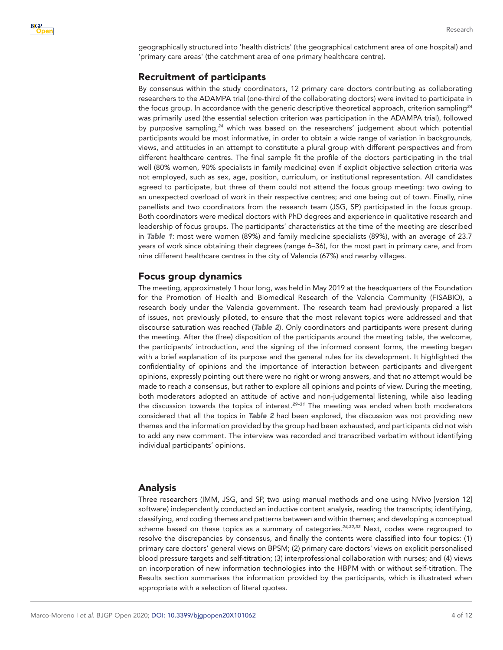

geographically structured into 'health districts' (the geographical catchment area of one hospital) and 'primary care areas' (the catchment area of one primary healthcare centre).

#### Recruitment of participants

By consensus within the study coordinators, 12 primary care doctors contributing as collaborating researchers to the ADAMPA trial (one-third of the collaborating doctors) were invited to participate in the focus group. In accordance with the generic descriptive theoretical approach, criterion sampling*[24](#page-10-9)* was primarily used (the essential selection criterion was participation in the ADAMPA trial), followed by purposive sampling,*[24](#page-10-9)* which was based on the researchers' judgement about which potential participants would be most informative, in order to obtain a wide range of variation in backgrounds, views, and attitudes in an attempt to constitute a plural group with different perspectives and from different healthcare centres. The final sample fit the profile of the doctors participating in the trial well (80% women, 90% specialists in family medicine) even if explicit objective selection criteria was not employed, such as sex, age, position, curriculum, or institutional representation. All candidates agreed to participate, but three of them could not attend the focus group meeting: two owing to an unexpected overload of work in their respective centres; and one being out of town. Finally, nine panellists and two coordinators from the research team (JSG, SP) participated in the focus group. Both coordinators were medical doctors with PhD degrees and experience in qualitative research and leadership of focus groups. The participants' characteristics at the time of the meeting are described in *[Table 1](#page-2-0)*: most were women (89%) and family medicine specialists (89%), with an average of 23.7 years of work since obtaining their degrees (range 6–36), for the most part in primary care, and from nine different healthcare centres in the city of Valencia (67%) and nearby villages.

### Focus group dynamics

The meeting, approximately 1 hour long, was held in May 2019 at the headquarters of the Foundation for the Promotion of Health and Biomedical Research of the Valencia Community (FISABIO), a research body under the Valencia government. The research team had previously prepared a list of issues, not previously piloted, to ensure that the most relevant topics were addressed and that discourse saturation was reached (*[Table 2](#page-4-0)*). Only coordinators and participants were present during the meeting. After the (free) disposition of the participants around the meeting table, the welcome, the participants' introduction, and the signing of the informed consent forms, the meeting began with a brief explanation of its purpose and the general rules for its development. It highlighted the confidentiality of opinions and the importance of interaction between participants and divergent opinions, expressly pointing out there were no right or wrong answers, and that no attempt would be made to reach a consensus, but rather to explore all opinions and points of view. During the meeting, both moderators adopted an attitude of active and non-judgemental listening, while also leading the discussion towards the topics of interest.*[29–31](#page-10-14)* The meeting was ended when both moderators considered that all the topics in *[Table 2](#page-4-0)* had been explored, the discussion was not providing new themes and the information provided by the group had been exhausted, and participants did not wish to add any new comment. The interview was recorded and transcribed verbatim without identifying individual participants' opinions.

#### Analysis

Three researchers (IMM, JSG, and SP, two using manual methods and one using NVivo [version 12] software) independently conducted an inductive content analysis, reading the transcripts; identifying, classifying, and coding themes and patterns between and within themes; and developing a conceptual scheme based on these topics as a summary of categories.*[24,32,33](#page-10-9)* Next, codes were regrouped to resolve the discrepancies by consensus, and finally the contents were classified into four topics: (1) primary care doctors' general views on BPSM; (2) primary care doctors' views on explicit personalised blood pressure targets and self-titration; (3) interprofessional collaboration with nurses; and (4) views on incorporation of new information technologies into the HBPM with or without self-titration. The Results section summarises the information provided by the participants, which is illustrated when appropriate with a selection of literal quotes.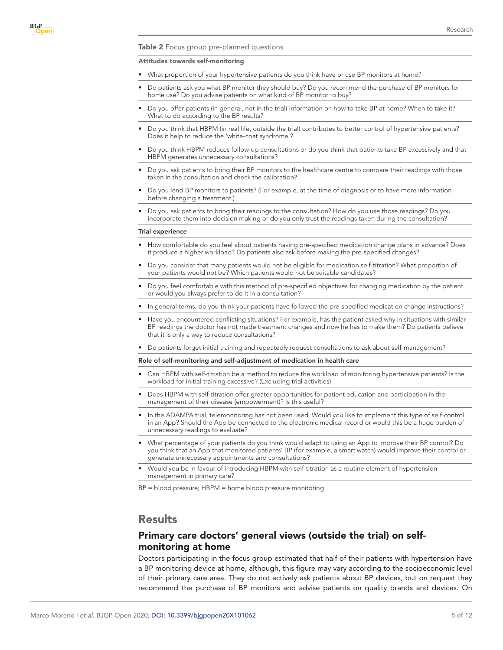<span id="page-4-0"></span>Table 2 Focus group pre-planned questions

#### Attitudes towards self-monitoring

- What proportion of your hypertensive patients do you think have or use BP monitors at home?
- Do patients ask you what BP monitor they should buy? Do you recommend the purchase of BP monitors for home use? Do you advise patients on what kind of BP monitor to buy?
- Do you offer patients (in general, not in the trial) information on how to take BP at home? When to take it? What to do according to the BP results?
- Do you think that HBPM (in real life, outside the trial) contributes to better control of hypertensive patients? Does it help to reduce the 'white-coat syndrome'?
- Do you think HBPM reduces follow-up consultations or do you think that patients take BP excessively and that HBPM generates unnecessary consultations?
- Do you ask patients to bring their BP monitors to the healthcare centre to compare their readings with those taken in the consultation and check the calibration?
- Do you lend BP monitors to patients? (For example, at the time of diagnosis or to have more information before changing a treatment.)
- Do you ask patients to bring their readings to the consultation? How do you use those readings? Do you incorporate them into decision making or do you only trust the readings taken during the consultation?

#### Trial experience

- How comfortable do you feel about patients having pre-specified medication change plans in advance? Does it produce a higher workload? Do patients also ask before making the pre-specified changes?
- Do you consider that many patients would not be eligible for medication self-titration? What proportion of your patients would not be? Which patients would not be suitable candidates?
- Do you feel comfortable with this method of pre-specified objectives for changing medication by the patient or would you always prefer to do it in a consultation?
- In general terms, do you think your patients have followed the pre-specified medication change instructions?
- Have you encountered conflicting situations? For example, has the patient asked why in situations with similar BP readings the doctor has not made treatment changes and now he has to make them? Do patients believe that it is only a way to reduce consultations?
- • Do patients forget initial training and repeatedly request consultations to ask about self-management?

#### Role of self-monitoring and self-adjustment of medication in health care

- Can HBPM with self-titration be a method to reduce the workload of monitoring hypertensive patients? Is the workload for initial training excessive? (Excluding trial activities)
- Does HBPM with self-titration offer greater opportunities for patient education and participation in the management of their disease (empowerment)? Is this useful?
- In the ADAMPA trial, telemonitoring has not been used. Would you like to implement this type of self-control in an App? Should the App be connected to the electronic medical record or would this be a huge burden of unnecessary readings to evaluate?
- What percentage of your patients do you think would adapt to using an App to improve their BP control? Do you think that an App that monitored patients' BP (for example, a smart watch) would improve their control or generate unnecessary appointments and consultations?
- Would you be in favour of introducing HBPM with self-titration as a routine element of hypertension management in primary care?

BP = blood pressure; HBPM = home blood pressure monitoring

### **Results**

# Primary care doctors' general views (outside the trial) on selfmonitoring at home

Doctors participating in the focus group estimated that half of their patients with hypertension have a BP monitoring device at home, although, this figure may vary according to the socioeconomic level of their primary care area. They do not actively ask patients about BP devices, but on request they recommend the purchase of BP monitors and advise patients on quality brands and devices. On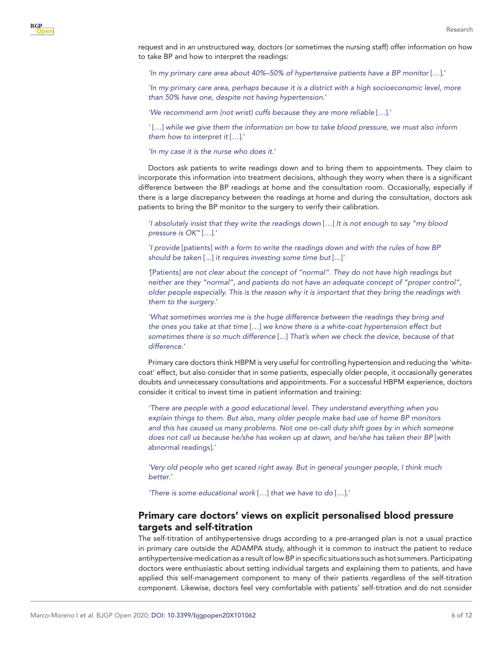request and in an unstructured way, doctors (or sometimes the nursing staff) offer information on how to take BP and how to interpret the readings:

*'In my primary care area about 40%–50% of hypertensive patients have a BP monitor* […].'

*'In my primary care area, perhaps because it is a district with a high socioeconomic level, more than 50% have one, despite not having hypertension*.'

*'We recommend arm (not wrist) cuffs because they are more reliable* […].'

*'* […] *while we give them the information on how to take blood pressure, we must also inform them how to interpret it* […].'

*'In my case it is the nurse who does it*.'

Doctors ask patients to write readings down and to bring them to appointments. They claim to incorporate this information into treatment decisions, although they worry when there is a significant difference between the BP readings at home and the consultation room. Occasionally, especially if there is a large discrepancy between the readings at home and during the consultation, doctors ask patients to bring the BP monitor to the surgery to verify their calibration.

*'I absolutely insist that they write the readings down* […] *It is not enough to say "my blood pressure is OK"* […].'

*'I provide* [patients] *with a form to write the readings down and with the rules of how BP should be taken* [...] *it requires investing some time but* [...]*'*

*'*[Patients] *are not clear about the concept of "normal". They do not have high readings but neither are they "normal", and patients do not have an adequate concept of "proper control", older people especially. This is the reason why it is important that they bring the readings with them to the surgery*.'

*'What sometimes worries me is the huge difference between the readings they bring and the ones you take at that time* […] *we know there is a white-coat hypertension effect but sometimes there is so much difference* [...] *That's when we check the device, because of that difference*.'

Primary care doctors think HBPM is very useful for controlling hypertension and reducing the 'whitecoat' effect, but also consider that in some patients, especially older people, it occasionally generates doubts and unnecessary consultations and appointments. For a successful HBPM experience, doctors consider it critical to invest time in patient information and training:

*'There are people with a good educational level. They understand everything when you explain things to them. But also, many older people make bad use of home BP monitors and this has caused us many problems. Not one on-call duty shift goes by in which someone does not call us because he/she has woken up at dawn, and he/she has taken their BP* [with abnormal readings].'

*'Very old people who get scared right away. But in general younger people, I think much better*.'

*'There is some educational work* […] *that we have to do* […].'

# Primary care doctors' views on explicit personalised blood pressure targets and self-titration

The self-titration of antihypertensive drugs according to a pre-arranged plan is not a usual practice in primary care outside the ADAMPA study, although it is common to instruct the patient to reduce antihypertensive medication as a result of low BP in specific situations such as hot summers. Participating doctors were enthusiastic about setting individual targets and explaining them to patients, and have applied this self-management component to many of their patients regardless of the self-titration component. Likewise, doctors feel very comfortable with patients' self-titration and do not consider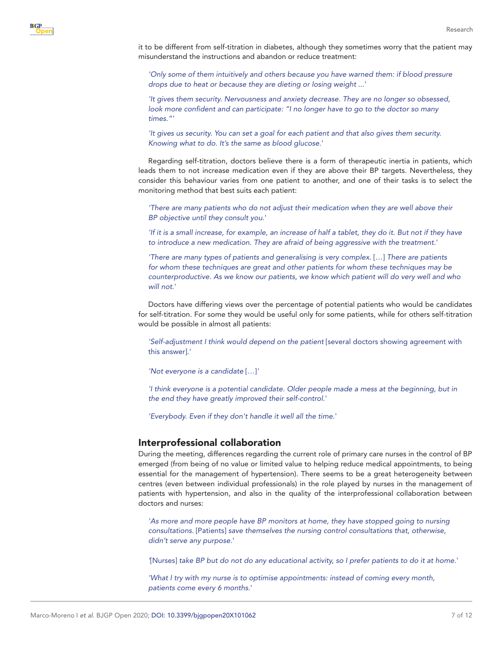

it to be different from self-titration in diabetes, although they sometimes worry that the patient may misunderstand the instructions and abandon or reduce treatment:

'Only some of them intuitively and others because you have warned them: if blood pressure *drops due to heat or because they are dieting or losing weight* ...'

*'It gives them security. Nervousness and anxiety decrease. They are no longer so obsessed, look more confident and can participate: "I no longer have to go to the doctor so many times."'*

*'It gives us security. You can set a goal for each patient and that also gives them security. Knowing what to do. It's the same as blood glucose*.'

Regarding self-titration, doctors believe there is a form of therapeutic inertia in patients, which leads them to not increase medication even if they are above their BP targets. Nevertheless, they consider this behaviour varies from one patient to another, and one of their tasks is to select the monitoring method that best suits each patient:

*'There are many patients who do not adjust their medication when they are well above their BP objective until they consult you*.'

*'If it is a small increase, for example, an increase of half a tablet, they do it. But not if they have to introduce a new medication. They are afraid of being aggressive with the treatment*.'

*'There are many types of patients and generalising is very complex.* […] *There are patients for whom these techniques are great and other patients for whom these techniques may be counterproductive. As we know our patients, we know which patient will do very well and who will not*.'

Doctors have differing views over the percentage of potential patients who would be candidates for self-titration. For some they would be useful only for some patients, while for others self-titration would be possible in almost all patients:

*'Self-adjustment I think would depend on the patient* [several doctors showing agreement with this answer].'

*'Not everyone is a candidate* […]*'*

*'I think everyone is a potential candidate. Older people made a mess at the beginning, but in the end they have greatly improved their self-control*.'

*'Everybody. Even if they don't handle it well all the time*.'

#### Interprofessional collaboration

During the meeting, differences regarding the current role of primary care nurses in the control of BP emerged (from being of no value or limited value to helping reduce medical appointments, to being essential for the management of hypertension). There seems to be a great heterogeneity between centres (even between individual professionals) in the role played by nurses in the management of patients with hypertension, and also in the quality of the interprofessional collaboration between doctors and nurses:

*'As more and more people have BP monitors at home, they have stopped going to nursing consultations.* [Patients] *save themselves the nursing control consultations that, otherwise, didn't serve any purpose*.'

*'*[Nurses] *take BP but do not do any educational activity, so I prefer patients to do it at home*.'

*'What I try with my nurse is to optimise appointments: instead of coming every month, patients come every 6 months*.'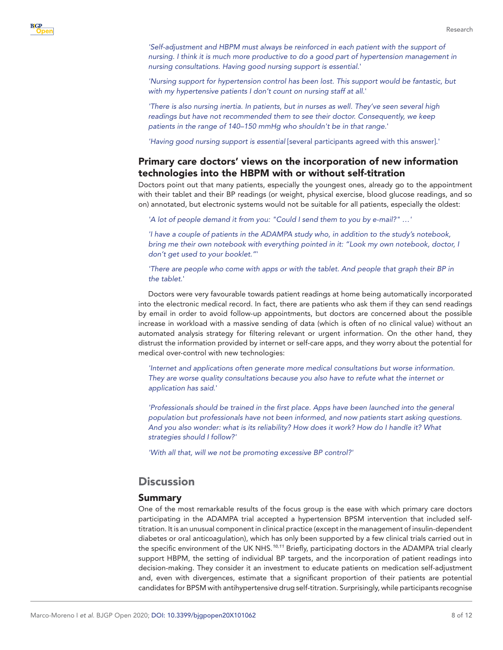*'Self-adjustment and HBPM must always be reinforced in each patient with the support of nursing. I think it is much more productive to do a good part of hypertension management in nursing consultations. Having good nursing support is essential*.'

*'Nursing support for hypertension control has been lost. This support would be fantastic, but with my hypertensive patients I don't count on nursing staff at all*.'

*'There is also nursing inertia. In patients, but in nurses as well. They've seen several high readings but have not recommended them to see their doctor. Consequently, we keep patients in the range of 140–150 mmHg who shouldn't be in that range*.'

*'Having good nursing support is essential* [several participants agreed with this answer].'

# Primary care doctors' views on the incorporation of new information technologies into the HBPM with or without self-titration

Doctors point out that many patients, especially the youngest ones, already go to the appointment with their tablet and their BP readings (or weight, physical exercise, blood glucose readings, and so on) annotated, but electronic systems would not be suitable for all patients, especially the oldest:

*'A lot of people demand it from you: "Could I send them to you by e-mail?" …'*

*'I have a couple of patients in the ADAMPA study who, in addition to the study's notebook, bring me their own notebook with everything pointed in it: "Look my own notebook, doctor, I don't get used to your booklet."*'

*'There are people who come with apps or with the tablet. And people that graph their BP in the tablet*.'

Doctors were very favourable towards patient readings at home being automatically incorporated into the electronic medical record. In fact, there are patients who ask them if they can send readings by email in order to avoid follow-up appointments, but doctors are concerned about the possible increase in workload with a massive sending of data (which is often of no clinical value) without an automated analysis strategy for filtering relevant or urgent information. On the other hand, they distrust the information provided by internet or self-care apps, and they worry about the potential for medical over-control with new technologies:

*'Internet and applications often generate more medical consultations but worse information. They are worse quality consultations because you also have to refute what the internet or application has said*.'

'Professionals should be trained in the first place. Apps have been launched into the general *population but professionals have not been informed, and now patients start asking questions. And you also wonder: what is its reliability? How does it work? How do I handle it? What strategies should I follow?'*

*'With all that, will we not be promoting excessive BP control?'*

# **Discussion**

#### Summary

One of the most remarkable results of the focus group is the ease with which primary care doctors participating in the ADAMPA trial accepted a hypertension BPSM intervention that included selftitration. It is an unusual component in clinical practice (except in the management of insulin-dependent diabetes or oral anticoagulation), which has only been supported by a few clinical trials carried out in the specific environment of the UK NHS.*[10,11](#page-10-1)* Briefly, participating doctors in the ADAMPA trial clearly support HBPM, the setting of individual BP targets, and the incorporation of patient readings into decision-making. They consider it an investment to educate patients on medication self-adjustment and, even with divergences, estimate that a significant proportion of their patients are potential candidates for BPSM with antihypertensive drug self-titration. Surprisingly, while participants recognise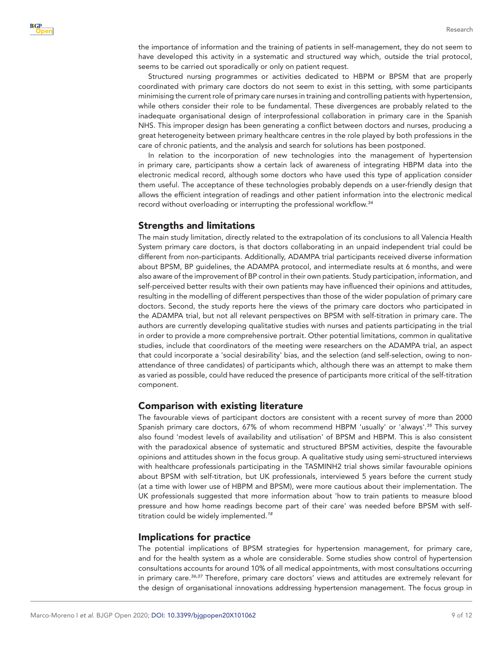the importance of information and the training of patients in self-management, they do not seem to have developed this activity in a systematic and structured way which, outside the trial protocol, seems to be carried out sporadically or only on patient request.

Structured nursing programmes or activities dedicated to HBPM or BPSM that are properly coordinated with primary care doctors do not seem to exist in this setting, with some participants minimising the current role of primary care nurses in training and controlling patients with hypertension, while others consider their role to be fundamental. These divergences are probably related to the inadequate organisational design of interprofessional collaboration in primary care in the Spanish NHS. This improper design has been generating a conflict between doctors and nurses, producing a great heterogeneity between primary healthcare centres in the role played by both professions in the care of chronic patients, and the analysis and search for solutions has been postponed.

In relation to the incorporation of new technologies into the management of hypertension in primary care, participants show a certain lack of awareness of integrating HBPM data into the electronic medical record, although some doctors who have used this type of application consider them useful. The acceptance of these technologies probably depends on a user-friendly design that allows the efficient integration of readings and other patient information into the electronic medical record without overloading or interrupting the professional workflow.*[34](#page-11-0)*

#### Strengths and limitations

The main study limitation, directly related to the extrapolation of its conclusions to all Valencia Health System primary care doctors, is that doctors collaborating in an unpaid independent trial could be different from non-participants. Additionally, ADAMPA trial participants received diverse information about BPSM, BP guidelines, the ADAMPA protocol, and intermediate results at 6 months, and were also aware of the improvement of BP control in their own patients. Study participation, information, and self-perceived better results with their own patients may have influenced their opinions and attitudes, resulting in the modelling of different perspectives than those of the wider population of primary care doctors. Second, the study reports here the views of the primary care doctors who participated in the ADAMPA trial, but not all relevant perspectives on BPSM with self-titration in primary care. The authors are currently developing qualitative studies with nurses and patients participating in the trial in order to provide a more comprehensive portrait. Other potential limitations, common in qualitative studies, include that coordinators of the meeting were researchers on the ADAMPA trial, an aspect that could incorporate a 'social desirability' bias, and the selection (and self-selection, owing to nonattendance of three candidates) of participants which, although there was an attempt to make them as varied as possible, could have reduced the presence of participants more critical of the self-titration component.

#### Comparison with existing literature

The favourable views of participant doctors are consistent with a recent survey of more than 2000 Spanish primary care doctors, 67% of whom recommend HBPM 'usually' or 'always'.*[35](#page-11-1)* This survey also found 'modest levels of availability and utilisation' of BPSM and HBPM. This is also consistent with the paradoxical absence of systematic and structured BPSM activities, despite the favourable opinions and attitudes shown in the focus group. A qualitative study using semi-structured interviews with healthcare professionals participating in the TASMINH2 trial shows similar favourable opinions about BPSM with self-titration, but UK professionals, interviewed 5 years before the current study (at a time with lower use of HBPM and BPSM), were more cautious about their implementation. The UK professionals suggested that more information about 'how to train patients to measure blood pressure and how home readings become part of their care' was needed before BPSM with selftitration could be widely implemented.*[18](#page-10-15)*

#### Implications for practice

The potential implications of BPSM strategies for hypertension management, for primary care, and for the health system as a whole are considerable. Some studies show control of hypertension consultations accounts for around 10% of all medical appointments, with most consultations occurring in primary care.*[36,37](#page-11-2)* Therefore, primary care doctors' views and attitudes are extremely relevant for the design of organisational innovations addressing hypertension management. The focus group in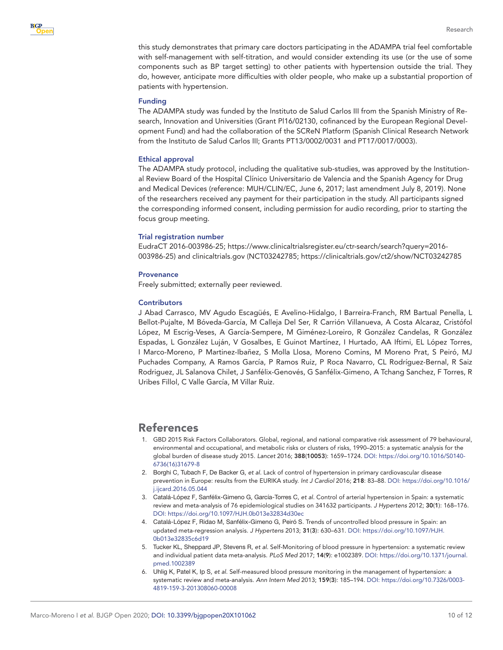

Research

this study demonstrates that primary care doctors participating in the ADAMPA trial feel comfortable with self-management with self-titration, and would consider extending its use (or the use of some components such as BP target setting) to other patients with hypertension outside the trial. They do, however, anticipate more difficulties with older people, who make up a substantial proportion of patients with hypertension.

#### Funding

The ADAMPA study was funded by the Instituto de Salud Carlos III from the Spanish Ministry of Research, Innovation and Universities (Grant Pl16/02130, cofinanced by the European Regional Development Fund) and had the collaboration of the SCReN Platform (Spanish Clinical Research Network from the Instituto de Salud Carlos III; Grants PT13/0002/0031 and PT17/0017/0003).

#### Ethical approval

The ADAMPA study protocol, including the qualitative sub-studies, was approved by the Institutional Review Board of the Hospital Clínico Universitario de Valencia and the Spanish Agency for Drug and Medical Devices (reference: MUH/CLIN/EC, June 6, 2017; last amendment July 8, 2019). None of the researchers received any payment for their participation in the study. All participants signed the corresponding informed consent, including permission for audio recording, prior to starting the focus group meeting.

#### Trial registration number

EudraCT 2016-003986-25; https://www.clinicaltrialsregister.eu/ctr-search/search?query=2016- 003986-25) and clinicaltrials.gov (NCT03242785; https://clinicaltrials.gov/ct2/show/NCT03242785

#### **Provenance**

Freely submitted; externally peer reviewed.

#### **Contributors**

J Abad Carrasco, MV Agudo Escagüés, E Avelino-Hidalgo, I Barreira-Franch, RM Bartual Penella, L Bellot-Pujalte, M Bóveda-García, M Calleja Del Ser, R Carrión Villanueva, A Costa Alcaraz, Cristófol López, M Escrig-Veses, A García-Sempere, M Giménez-Loreiro, R González Candelas, R González Espadas, L González Luján, V Gosalbes, E Guinot Martínez, I Hurtado, AA Iftimi, EL López Torres, I Marco-Moreno, P Martinez-Ibañez, S Molla Llosa, Moreno Comins, M Moreno Prat, S Peiró, MJ Puchades Company, A Ramos García, P Ramos Ruiz, P Roca Navarro, CL Rodríguez-Bernal, R Saiz Rodriguez, JL Salanova Chilet, J Sanfélix-Genovés, G Sanfélix-Gimeno, A Tchang Sanchez, F Torres, R Uribes Fillol, C Valle García, M Villar Ruiz.

# References

- <span id="page-9-0"></span>1. GBD 2015 Risk Factors Collaborators. Global, regional, and national comparative risk assessment of 79 behavioural, environmental and occupational, and metabolic risks or clusters of risks, 1990–2015: a systematic analysis for the global burden of disease study 2015. *Lancet* 2016; 388(10053): 1659–1724. DOI: [https://doi.org/10.1016/S0140-](https://doi.org/10.1016/S0140-6736(16)31679-8) [6736\(16\)31679-8](https://doi.org/10.1016/S0140-6736(16)31679-8)
- <span id="page-9-1"></span>2. Borghi C, Tubach F, De Backer G, *et al*. Lack of control of hypertension in primary cardiovascular disease prevention in Europe: results from the EURIKA study. *Int J Cardiol* 2016; 218: 83–88. DOI: [https://doi.org/10.1016/](https://doi.org/10.1016/j.ijcard.2016.05.044) [j.ijcard.2016.05.044](https://doi.org/10.1016/j.ijcard.2016.05.044)
- <span id="page-9-2"></span>3. Catalá-López F, Sanfélix-Gimeno G, García-Torres C, *et al*. Control of arterial hypertension in Spain: a systematic review and meta-analysis of 76 epidemiological studies on 341632 participants. *J Hypertens* 2012; 30(1): 168–176. DOI:<https://doi.org/10.1097/HJH.0b013e32834d30ec>
- <span id="page-9-3"></span>4. Catalá-López F, Ridao M, Sanfélix-Gimeno G, Peiró S. Trends of uncontrolled blood pressure in Spain: an updated meta-regression analysis. *J Hypertens* 2013; 31(3): 630–631. DOI: [https://doi.org/10.1097/HJH.](https://doi.org/10.1097/HJH.0b013e32835c6d19) [0b013e32835c6d19](https://doi.org/10.1097/HJH.0b013e32835c6d19)
- <span id="page-9-4"></span>5. Tucker KL, Sheppard JP, Stevens R, *et al*. Self-Monitoring of blood pressure in hypertension: a systematic review and individual patient data meta-analysis. *PLoS Med* 2017; 14(9): e1002389. DOI: [https://doi.org/10.1371/journal.](https://doi.org/10.1371/journal.pmed.1002389) [pmed.1002389](https://doi.org/10.1371/journal.pmed.1002389)
- <span id="page-9-5"></span>6. Uhlig K, Patel K, Ip S, *et al*. Self-measured blood pressure monitoring in the management of hypertension: a systematic review and meta-analysis. *Ann Intern Med* 2013; 159(3): 185–194. DOI: [https://doi.org/10.7326/0003-](https://doi.org/10.7326/0003-4819-159-3-201308060-00008) [4819-159-3-201308060-00008](https://doi.org/10.7326/0003-4819-159-3-201308060-00008)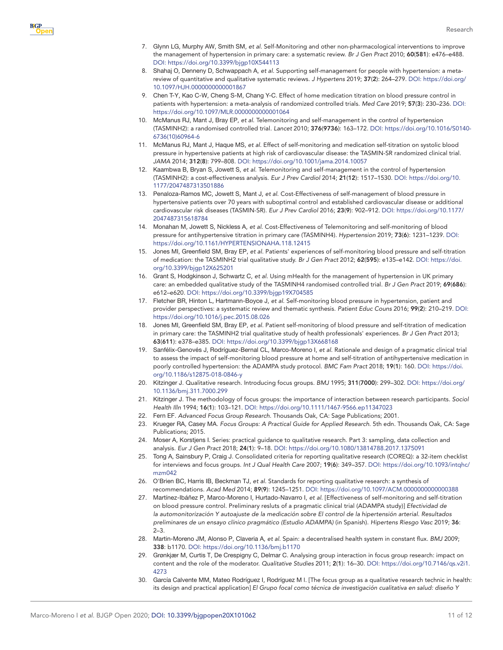- <span id="page-10-3"></span>7. Glynn LG, Murphy AW, Smith SM, *et al*. Self-Monitoring and other non-pharmacological interventions to improve the management of hypertension in primary care: a systematic review. *Br J Gen Pract* 2010; 60(581): e476–e488. DOI:<https://doi.org/10.3399/bjgp10X544113>
- 8. Shahaj O, Denneny D, Schwappach A, *et al*. Supporting self-management for people with hypertension: a metareview of quantitative and qualitative systematic reviews. *J Hypertens* 2019; 37(2): 264–279. DOI: [https://doi.org/](https://doi.org/10.1097/HJH.0000000000001867) [10.1097/HJH.0000000000001867](https://doi.org/10.1097/HJH.0000000000001867)
- <span id="page-10-0"></span>9. Chen T-Y, Kao C-W, Cheng S-M, Chang Y-C. Effect of home medication titration on blood pressure control in patients with hypertension: a meta-analysis of randomized controlled trials. *Med Care* 2019; 57(3): 230–236. DOI: <https://doi.org/10.1097/MLR.0000000000001064>
- <span id="page-10-1"></span>10. McManus RJ, Mant J, Bray EP, *et al*. Telemonitoring and self-management in the control of hypertension (TASMINH2): a randomised controlled trial. *Lancet* 2010; 376(9736): 163–172. DOI: [https://doi.org/10.1016/S0140-](https://doi.org/10.1016/S0140-6736(10)60964-6) [6736\(10\)60964-6](https://doi.org/10.1016/S0140-6736(10)60964-6)
- <span id="page-10-2"></span>11. McManus RJ, Mant J, Haque MS, *et al*. Effect of self-monitoring and medication self-titration on systolic blood pressure in hypertensive patients at high risk of cardiovascular disease: the TASMIN-SR randomized clinical trial. *JAMA* 2014; 312(8): 799–808. DOI:<https://doi.org/10.1001/jama.2014.10057>
- <span id="page-10-4"></span>12. Kaambwa B, Bryan S, Jowett S, *et al*. Telemonitoring and self-management in the control of hypertension (TASMINH2): a cost-effectiveness analysis. *Eur J Prev Cardiol* 2014; 21(12): 1517–1530. DOI: [https://doi.org/10.](https://doi.org/10.1177/2047487313501886) [1177/2047487313501886](https://doi.org/10.1177/2047487313501886)
- 13. Penaloza-Ramos MC, Jowett S, Mant J, *et al*. Cost-Effectiveness of self-management of blood pressure in hypertensive patients over 70 years with suboptimal control and established cardiovascular disease or additional cardiovascular risk diseases (TASMIN-SR). *Eur J Prev Cardiol* 2016; 23(9): 902–912. DOI: [https://doi.org/10.1177/](https://doi.org/10.1177/2047487315618784) [2047487315618784](https://doi.org/10.1177/2047487315618784)
- 14. Monahan M, Jowett S, Nickless A, *et al*. Cost-Effectiveness of Telemonitoring and self-monitoring of blood pressure for antihypertensive titration in primary care (TASMINH4). *Hypertension* 2019; 73(6): 1231–1239. DOI: <https://doi.org/10.1161/HYPERTENSIONAHA.118.12415>
- <span id="page-10-5"></span>15. Jones MI, Greenfield SM, Bray EP, *et al*. Patients' experiences of self-monitoring blood pressure and self-titration of medication: the TASMINH2 trial qualitative study. *Br J Gen Pract* 2012; 62(595): e135–e142. DOI: [https://doi.](https://doi.org/10.3399/bjgp12X625201) [org/10.3399/bjgp12X625201](https://doi.org/10.3399/bjgp12X625201)
- <span id="page-10-6"></span>16. Grant S, Hodgkinson J, Schwartz C, *et al*. Using mHealth for the management of hypertension in UK primary care: an embedded qualitative study of the TASMINH4 randomised controlled trial. *Br J Gen Pract* 2019; 69(686): e612–e620. DOI: <https://doi.org/10.3399/bjgp19X704585>
- 17. Fletcher BR, Hinton L, Hartmann-Boyce J, *et al*. Self-monitoring blood pressure in hypertension, patient and provider perspectives: a systematic review and thematic synthesis. *Patient Educ Couns* 2016; 99(2): 210–219. DOI: <https://doi.org/10.1016/j.pec.2015.08.026>
- <span id="page-10-15"></span>18. Jones MI, Greenfield SM, Bray EP, *et al*. Patient self-monitoring of blood pressure and self-titration of medication in primary care: the TASMINH2 trial qualitative study of health professionals' experiences. *Br J Gen Pract* 2013; 63(611): e378–e385. DOI:<https://doi.org/10.3399/bjgp13X668168>
- <span id="page-10-7"></span>19. Sanfélix-Genovés J, Rodríguez-Bernal CL, Marco-Moreno I, *et al*. Rationale and design of a pragmatic clinical trial to assess the impact of self-monitoring blood pressure at home and self-titration of antihypertensive medication in poorly controlled hypertension: the ADAMPA study protocol. *BMC Fam Pract* 2018; 19(1): 160. DOI: [https://doi.](https://doi.org/10.1186/s12875-018-0846-y) [org/10.1186/s12875-018-0846-y](https://doi.org/10.1186/s12875-018-0846-y)
- <span id="page-10-8"></span>20. Kitzinger J. Qualitative research. Introducing focus groups. *BMJ* 1995; 311(7000): 299–302. DOI: [https://doi.org/](https://doi.org/10.1136/bmj.311.7000.299) [10.1136/bmj.311.7000.299](https://doi.org/10.1136/bmj.311.7000.299)
- 21. Kitzinger J. The methodology of focus groups: the importance of interaction between research participants. *Sociol Health Illn* 1994; 16(1): 103–121. DOI: <https://doi.org/10.1111/1467-9566.ep11347023>
- 22. Fern EF. *Advanced Focus Group Research*. Thousands Oak, CA: Sage Publications; 2001.
- 23. Krueger RA, Casey MA. *Focus Groups: A Practical Guide for Applied Research*. 5th edn. Thousands Oak, CA: Sage Publications; 2015.
- <span id="page-10-9"></span>24. Moser A, Korstjens I. Series: practical guidance to qualitative research. Part 3: sampling, data collection and analysis. *Eur J Gen Pract* 2018; 24(1): 9–18. DOI: <https://doi.org/10.1080/13814788.2017.1375091>
- <span id="page-10-10"></span>25. Tong A, Sainsbury P, Craig J. Consolidated criteria for reporting qualitative research (COREQ): a 32-item checklist for interviews and focus groups. *Int J Qual Health Care* 2007; 19(6): 349–357. DOI: [https://doi.org/10.1093/intqhc/](https://doi.org/10.1093/intqhc/mzm042) [mzm042](https://doi.org/10.1093/intqhc/mzm042)
- <span id="page-10-11"></span>26. O'Brien BC, Harris IB, Beckman TJ, *et al*. Standards for reporting qualitative research: a synthesis of recommendations. *Acad Med* 2014; 89(9): 1245–1251. DOI:<https://doi.org/10.1097/ACM.0000000000000388>
- <span id="page-10-12"></span>27. Martínez-Ibáñez P, Marco-Moreno I, Hurtado-Navarro I, *et al*. [Effectiveness of self-monitoring and self-titration on blood pressure control. Preliminary resluts of a pragmatic clinical trial (ADAMPA study)] *Efectividad de la automonitorización Y autoajuste de la medicación sobre El control de la hipertensión arterial. Resultados preliminares de un ensayo clínico pragmático (Estudio ADAMPA)* (in Spanish). *Hipertens Riesgo Vasc* 2019; 36:  $2 - 3$ .
- <span id="page-10-13"></span>28. Martin-Moreno JM, Alonso P, Claveria A, *et al*. Spain: a decentralised health system in constant flux. *BMJ* 2009; 338: b1170. DOI:<https://doi.org/10.1136/bmj.b1170>
- <span id="page-10-14"></span>29. Grønkjær M, Curtis T, De Crespigny C, Delmar C. Analysing group interaction in focus group research: impact on content and the role of the moderator. *Qualitative Studies* 2011; 2(1): 16–30. DOI: [https://doi.org/10.7146/qs.v2i1.](https://doi.org/10.7146/qs.v2i1.4273) [4273](https://doi.org/10.7146/qs.v2i1.4273)
- 30. García Calvente MM, Mateo Rodríguez I, Rodríguez M I. [The focus group as a qualitative research technic in health: its design and practical application] *El Grupo focal como técnica de investigación cualitativa en salud: diseño Y*